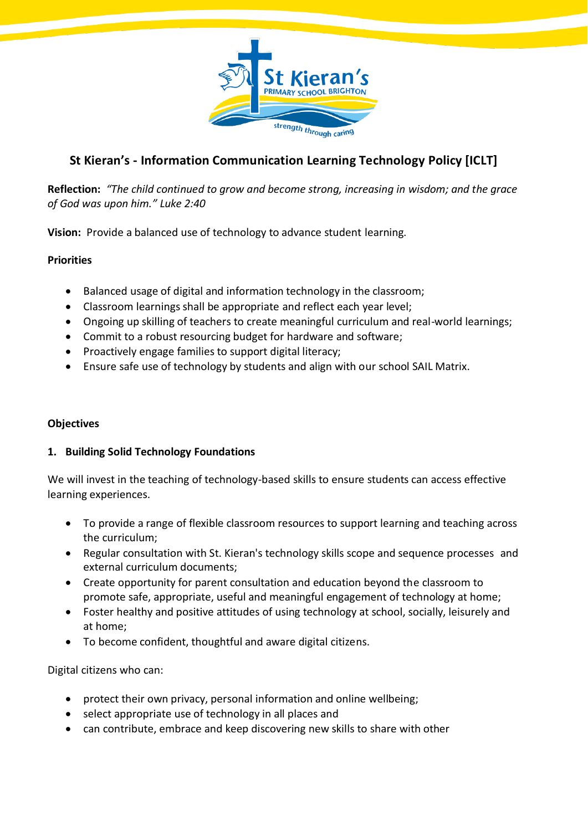

# **St Kieran's - Information Communication Learning Technology Policy [ICLT]**

**Reflection:** *"The child continued to grow and become strong, increasing in wisdom; and the grace of God was upon him." Luke 2:40*

**Vision:** Provide a balanced use of technology to advance student learning.

#### **Priorities**

- Balanced usage of digital and information technology in the classroom;
- Classroom learnings shall be appropriate and reflect each year level;
- Ongoing up skilling of teachers to create meaningful curriculum and real-world learnings;
- Commit to a robust resourcing budget for hardware and software;
- Proactively engage families to support digital literacy;
- Ensure safe use of technology by students and align with our school SAIL Matrix.

#### **Objectives**

#### **1. Building Solid Technology Foundations**

We will invest in the teaching of technology-based skills to ensure students can access effective learning experiences.

- To provide a range of flexible classroom resources to support learning and teaching across the curriculum;
- Regular consultation with St. Kieran's technology skills scope and sequence processes and external curriculum documents;
- Create opportunity for parent consultation and education beyond the classroom to promote safe, appropriate, useful and meaningful engagement of technology at home;
- Foster healthy and positive attitudes of using technology at school, socially, leisurely and at home;
- To become confident, thoughtful and aware digital citizens.

Digital citizens who can:

- protect their own privacy, personal information and online wellbeing;
- select appropriate use of technology in all places and
- can contribute, embrace and keep discovering new skills to share with other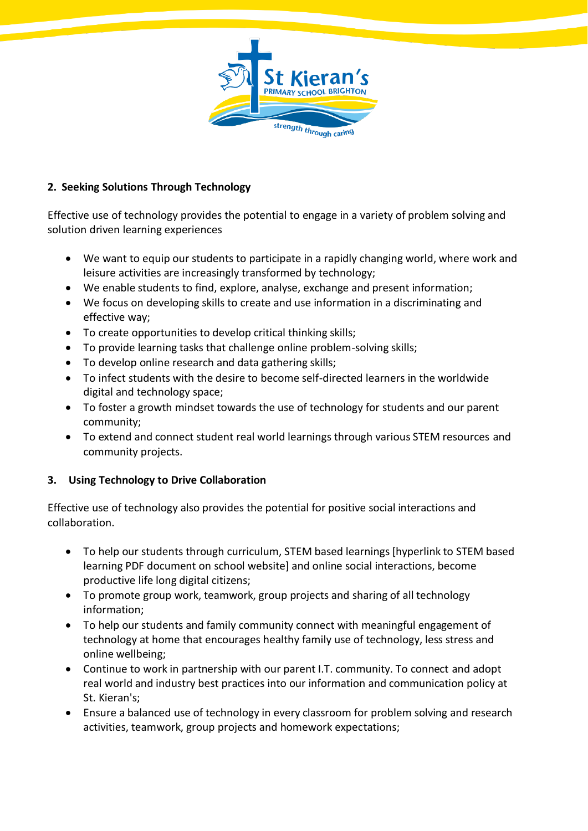

### **2. Seeking Solutions Through Technology**

Effective use of technology provides the potential to engage in a variety of problem solving and solution driven learning experiences

- We want to equip our students to participate in a rapidly changing world, where work and leisure activities are increasingly transformed by technology;
- We enable students to find, explore, analyse, exchange and present information;
- We focus on developing skills to create and use information in a discriminating and effective way;
- To create opportunities to develop critical thinking skills;
- To provide learning tasks that challenge online problem-solving skills;
- To develop online research and data gathering skills;
- To infect students with the desire to become self-directed learners in the worldwide digital and technology space;
- To foster a growth mindset towards the use of technology for students and our parent community;
- To extend and connect student real world learnings through various STEM resources and community projects.

## **3. Using Technology to Drive Collaboration**

Effective use of technology also provides the potential for positive social interactions and collaboration.

- To help our students through curriculum, STEM based learnings [hyperlink to STEM based learning PDF document on school website] and online social interactions, become productive life long digital citizens;
- To promote group work, teamwork, group projects and sharing of all technology information;
- To help our students and family community connect with meaningful engagement of technology at home that encourages healthy family use of technology, less stress and online wellbeing;
- Continue to work in partnership with our parent I.T. community. To connect and adopt real world and industry best practices into our information and communication policy at St. Kieran's;
- Ensure a balanced use of technology in every classroom for problem solving and research activities, teamwork, group projects and homework expectations;